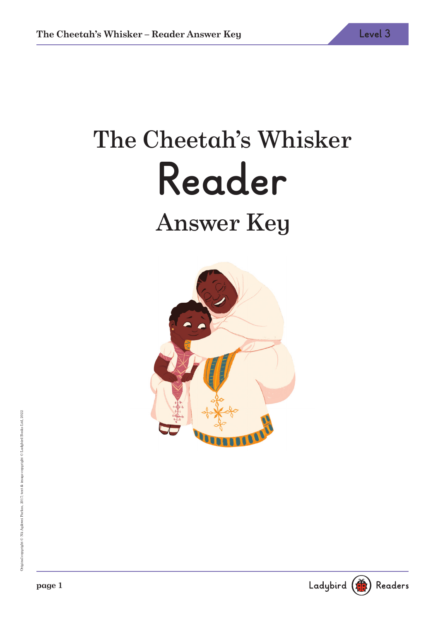# The Cheetah's Whisker **Reader** Answer Key



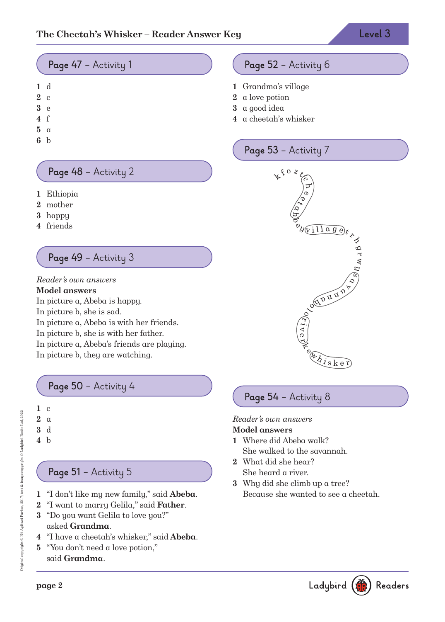## **Page 47** – Activity 1

- **1** d
- **2** c
- **3** e
- **4** f
- **5** a
- **6** b

## **Page 48** – Activity 2

- **1** Ethiopia
- **2** mother
- **3** happy
- **4** friends

## **Page 49** – Activity 3

Reader's own answers **Model answers** In picture a, Abeba is happy. In picture b, she is sad. In picture a, Abeba is with her friends. In picture b, she is with her father. In picture a, Abeba's friends are playing. In picture b, they are watching.

**Page 50** – Activity 4



# **Page 51** – Activity 5

- **1** "I don't like my new family," said **Abeba**.
- **2** "I want to marry Gelila," said **Father**.
- **3** "Do you want Gelila to love you?" asked **Grandma**.
- **4** "I have a cheetah's whisker," said **Abeba**.
- **5** "You don't need a love potion," said **Grandma**.

# **Page 52** – Activity 6

- **1** Grandma's village
- **2** a love potion
- **3** a good idea
- **4** a cheetah's whisker

## **Page 53** – Activity 7



# **Page 54** – Activity 8

Reader's own answers

#### **Model answers**

- **1** Where did Abeba walk? She walked to the savannah.
- **2** What did she hear? She heard a river.
- **3** Why did she climb up a tree? Because she wanted to see a cheetah.